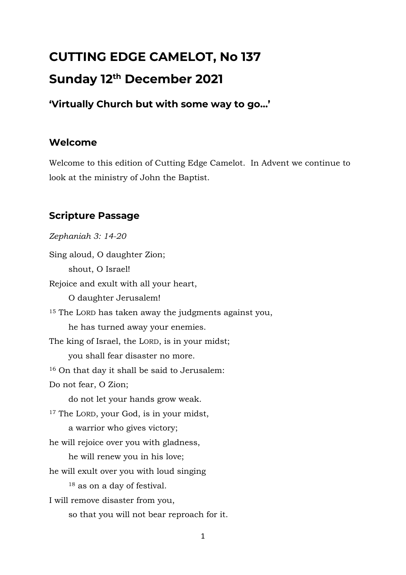# **CUTTING EDGE CAMELOT, No 137 Sunday 12th December 2021**

**'Virtually Church but with some way to go…'**

## **Welcome**

Welcome to this edition of Cutting Edge Camelot. In Advent we continue to look at the ministry of John the Baptist.

## **Scripture Passage**

*Zephaniah 3: 14-20* Sing aloud, O daughter Zion; shout, O Israel! Rejoice and exult with all your heart, O daughter Jerusalem! <sup>15</sup> The LORD has taken away the judgments against you, he has turned away your enemies. The king of Israel, the LORD, is in your midst; you shall fear disaster no more. <sup>16</sup> On that day it shall be said to Jerusalem: Do not fear, O Zion; do not let your hands grow weak. <sup>17</sup> The LORD, your God, is in your midst, a warrior who gives victory; he will rejoice over you with gladness, he will renew you in his love; he will exult over you with loud singing <sup>18</sup> as on a day of festival. I will remove disaster from you, so that you will not bear reproach for it.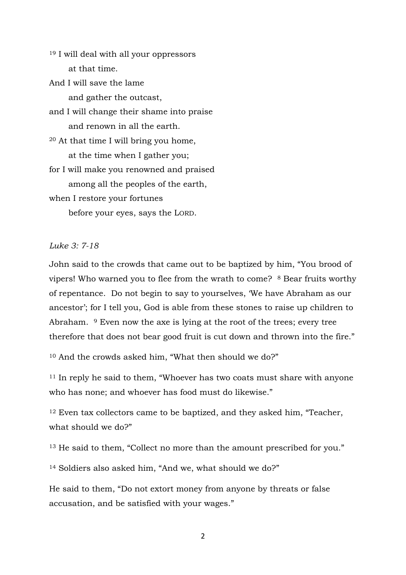<sup>19</sup> I will deal with all your oppressors at that time. And I will save the lame and gather the outcast, and I will change their shame into praise and renown in all the earth. <sup>20</sup> At that time I will bring you home, at the time when I gather you; for I will make you renowned and praised among all the peoples of the earth, when I restore your fortunes before your eyes, says the LORD.

*Luke 3: 7-18*

John said to the crowds that came out to be baptized by him, "You brood of vipers! Who warned you to flee from the wrath to come? <sup>8</sup> Bear fruits worthy of repentance. Do not begin to say to yourselves, 'We have Abraham as our ancestor'; for I tell you, God is able from these stones to raise up children to Abraham. <sup>9</sup> Even now the axe is lying at the root of the trees; every tree therefore that does not bear good fruit is cut down and thrown into the fire."

<sup>10</sup> And the crowds asked him, "What then should we do?"

<sup>11</sup> In reply he said to them, "Whoever has two coats must share with anyone who has none; and whoever has food must do likewise."

<sup>12</sup> Even tax collectors came to be baptized, and they asked him, "Teacher, what should we do?"

<sup>13</sup> He said to them, "Collect no more than the amount prescribed for you."

<sup>14</sup> Soldiers also asked him, "And we, what should we do?"

He said to them, "Do not extort money from anyone by threats or false accusation, and be satisfied with your wages."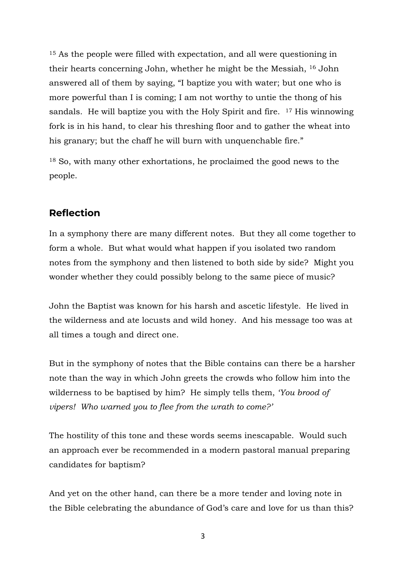<sup>15</sup> As the people were filled with expectation, and all were questioning in their hearts concerning John, whether he might be the Messiah, <sup>16</sup> John answered all of them by saying, "I baptize you with water; but one who is more powerful than I is coming; I am not worthy to untie the thong of his sandals. He will baptize you with the Holy Spirit and fire.  $17$  His winnowing fork is in his hand, to clear his threshing floor and to gather the wheat into his granary; but the chaff he will burn with unquenchable fire."

<sup>18</sup> So, with many other exhortations, he proclaimed the good news to the people.

#### **Reflection**

In a symphony there are many different notes. But they all come together to form a whole. But what would what happen if you isolated two random notes from the symphony and then listened to both side by side? Might you wonder whether they could possibly belong to the same piece of music?

John the Baptist was known for his harsh and ascetic lifestyle. He lived in the wilderness and ate locusts and wild honey. And his message too was at all times a tough and direct one.

But in the symphony of notes that the Bible contains can there be a harsher note than the way in which John greets the crowds who follow him into the wilderness to be baptised by him? He simply tells them, *'You brood of vipers! Who warned you to flee from the wrath to come?'*

The hostility of this tone and these words seems inescapable. Would such an approach ever be recommended in a modern pastoral manual preparing candidates for baptism?

And yet on the other hand, can there be a more tender and loving note in the Bible celebrating the abundance of God's care and love for us than this?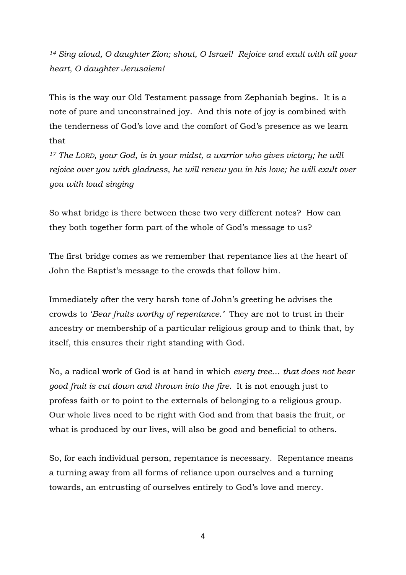*<sup>14</sup> Sing aloud, O daughter Zion; shout, O Israel! Rejoice and exult with all your heart, O daughter Jerusalem!*

This is the way our Old Testament passage from Zephaniah begins. It is a note of pure and unconstrained joy. And this note of joy is combined with the tenderness of God's love and the comfort of God's presence as we learn that

*<sup>17</sup> The LORD, your God, is in your midst, a warrior who gives victory; he will rejoice over you with gladness, he will renew you in his love; he will exult over you with loud singing*

So what bridge is there between these two very different notes? How can they both together form part of the whole of God's message to us?

The first bridge comes as we remember that repentance lies at the heart of John the Baptist's message to the crowds that follow him.

Immediately after the very harsh tone of John's greeting he advises the crowds to '*Bear fruits worthy of repentance.'* They are not to trust in their ancestry or membership of a particular religious group and to think that, by itself, this ensures their right standing with God.

No, a radical work of God is at hand in which *every tree*… *that does not bear good fruit is cut down and thrown into the fire.* It is not enough just to profess faith or to point to the externals of belonging to a religious group. Our whole lives need to be right with God and from that basis the fruit, or what is produced by our lives, will also be good and beneficial to others.

So, for each individual person, repentance is necessary. Repentance means a turning away from all forms of reliance upon ourselves and a turning towards, an entrusting of ourselves entirely to God's love and mercy.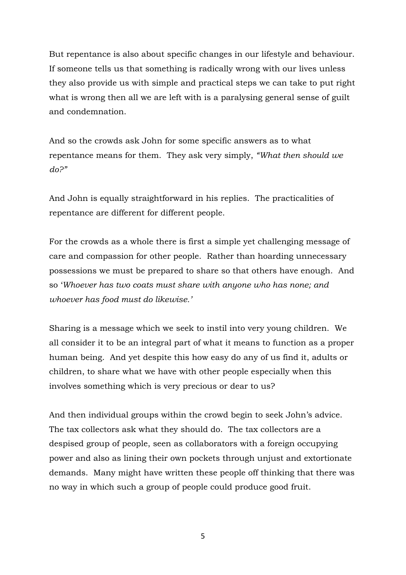But repentance is also about specific changes in our lifestyle and behaviour. If someone tells us that something is radically wrong with our lives unless they also provide us with simple and practical steps we can take to put right what is wrong then all we are left with is a paralysing general sense of guilt and condemnation.

And so the crowds ask John for some specific answers as to what repentance means for them. They ask very simply, *"What then should we do?"*

And John is equally straightforward in his replies. The practicalities of repentance are different for different people.

For the crowds as a whole there is first a simple yet challenging message of care and compassion for other people. Rather than hoarding unnecessary possessions we must be prepared to share so that others have enough. And so '*Whoever has two coats must share with anyone who has none; and whoever has food must do likewise.'*

Sharing is a message which we seek to instil into very young children. We all consider it to be an integral part of what it means to function as a proper human being. And yet despite this how easy do any of us find it, adults or children, to share what we have with other people especially when this involves something which is very precious or dear to us?

And then individual groups within the crowd begin to seek John's advice. The tax collectors ask what they should do. The tax collectors are a despised group of people, seen as collaborators with a foreign occupying power and also as lining their own pockets through unjust and extortionate demands. Many might have written these people off thinking that there was no way in which such a group of people could produce good fruit.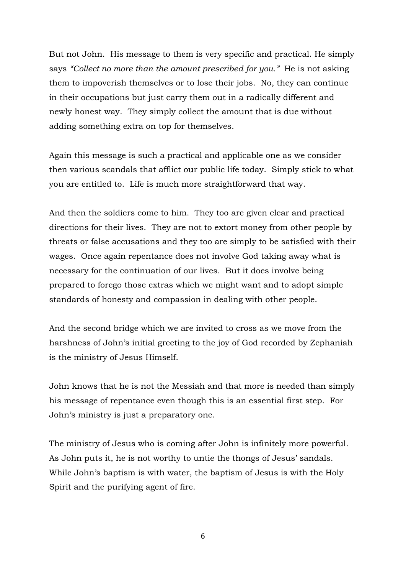But not John. His message to them is very specific and practical. He simply says *"Collect no more than the amount prescribed for you."* He is not asking them to impoverish themselves or to lose their jobs. No, they can continue in their occupations but just carry them out in a radically different and newly honest way. They simply collect the amount that is due without adding something extra on top for themselves.

Again this message is such a practical and applicable one as we consider then various scandals that afflict our public life today. Simply stick to what you are entitled to. Life is much more straightforward that way.

And then the soldiers come to him. They too are given clear and practical directions for their lives. They are not to extort money from other people by threats or false accusations and they too are simply to be satisfied with their wages. Once again repentance does not involve God taking away what is necessary for the continuation of our lives. But it does involve being prepared to forego those extras which we might want and to adopt simple standards of honesty and compassion in dealing with other people.

And the second bridge which we are invited to cross as we move from the harshness of John's initial greeting to the joy of God recorded by Zephaniah is the ministry of Jesus Himself.

John knows that he is not the Messiah and that more is needed than simply his message of repentance even though this is an essential first step. For John's ministry is just a preparatory one.

The ministry of Jesus who is coming after John is infinitely more powerful. As John puts it, he is not worthy to untie the thongs of Jesus' sandals. While John's baptism is with water, the baptism of Jesus is with the Holy Spirit and the purifying agent of fire.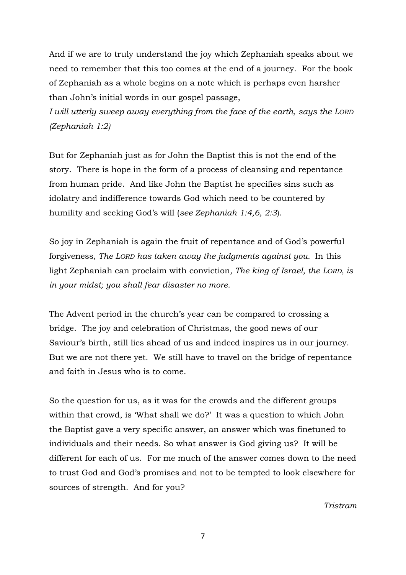And if we are to truly understand the joy which Zephaniah speaks about we need to remember that this too comes at the end of a journey. For the book of Zephaniah as a whole begins on a note which is perhaps even harsher than John's initial words in our gospel passage,

*I will utterly sweep away everything from the face of the earth, says the LORD (Zephaniah 1:2)*

But for Zephaniah just as for John the Baptist this is not the end of the story. There is hope in the form of a process of cleansing and repentance from human pride. And like John the Baptist he specifies sins such as idolatry and indifference towards God which need to be countered by humility and seeking God's will (*see Zephaniah 1:4,6, 2:3*).

So joy in Zephaniah is again the fruit of repentance and of God's powerful forgiveness, *The LORD has taken away the judgments against you.* In this light Zephaniah can proclaim with conviction*, The king of Israel, the LORD, is in your midst; you shall fear disaster no more.*

The Advent period in the church's year can be compared to crossing a bridge. The joy and celebration of Christmas, the good news of our Saviour's birth, still lies ahead of us and indeed inspires us in our journey. But we are not there yet. We still have to travel on the bridge of repentance and faith in Jesus who is to come.

So the question for us, as it was for the crowds and the different groups within that crowd, is 'What shall we do?' It was a question to which John the Baptist gave a very specific answer, an answer which was finetuned to individuals and their needs. So what answer is God giving us? It will be different for each of us. For me much of the answer comes down to the need to trust God and God's promises and not to be tempted to look elsewhere for sources of strength. And for you?

*Tristram*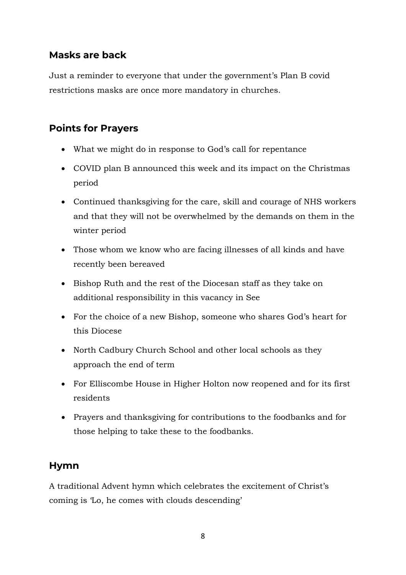## **Masks are back**

Just a reminder to everyone that under the government's Plan B covid restrictions masks are once more mandatory in churches.

#### **Points for Prayers**

- What we might do in response to God's call for repentance
- COVID plan B announced this week and its impact on the Christmas period
- Continued thanksgiving for the care, skill and courage of NHS workers and that they will not be overwhelmed by the demands on them in the winter period
- Those whom we know who are facing illnesses of all kinds and have recently been bereaved
- Bishop Ruth and the rest of the Diocesan staff as they take on additional responsibility in this vacancy in See
- For the choice of a new Bishop, someone who shares God's heart for this Diocese
- North Cadbury Church School and other local schools as they approach the end of term
- For Elliscombe House in Higher Holton now reopened and for its first residents
- Prayers and thanksgiving for contributions to the foodbanks and for those helping to take these to the foodbanks.

## **Hymn**

A traditional Advent hymn which celebrates the excitement of Christ's coming is 'Lo, he comes with clouds descending'